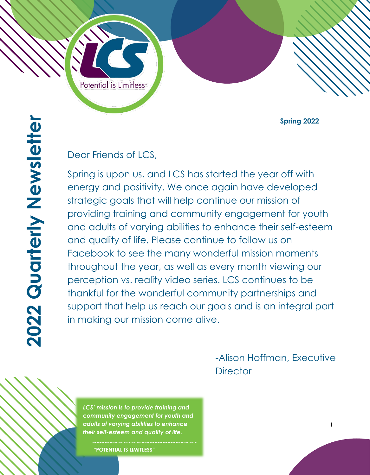Potential is Limitless<sup>®</sup>

**Spring 2022**

#### Dear Friends of LCS,

Spring is upon us, and LCS has started the year off with energy and positivity. We once again have developed strategic goals that will help continue our mission of providing training and community engagement for youth and adults of varying abilities to enhance their self-esteem and quality of life. Please continue to follow us on Facebook to see the many wonderful mission moments throughout the year, as well as every month viewing our perception vs. reality video series. LCS continues to be thankful for the wonderful community partnerships and support that help us reach our goals and is an integral part in making our mission come alive.

> -Alison Hoffman, Executive **Director**

*LCS' mission is to provide training and community engagement for youth and adults of varying abilities to enhance their self-esteem and quality of life.*

**"POTENTIAL IS LIMITLESS"**

1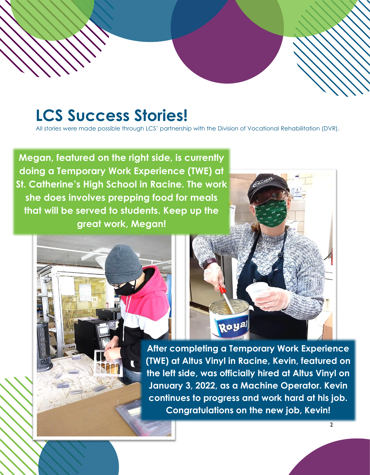# **LCS Success Stories!**

All stories were made possible through LCS' partnership with the Division of Vocational Rehabilitation (DVR).

**Megan, featured on the right side, is currently doing a Temporary Work Experience (TWE) at St. Catherine's High School in Racine. The work she does involves prepping food for meals that will be served to students. Keep up the great work, Megan!**

> **After completing a Temporary Work Experience (TWE) at Altus Vinyl in Racine, Kevin, featured on the left side, was officially hired at Altus Vinyl on January 3, 2022, as a Machine Operator. Kevin continues to progress and work hard at his job. Congratulations on the new job, Kevin!**

Royal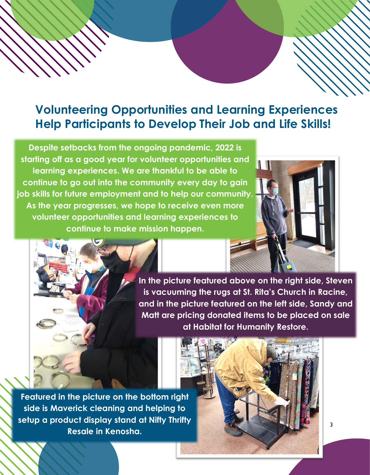### **Volunteering Opportunities and Learning Experiences Help Participants to Develop Their Job and Life Skills!**

**Despite setbacks from the ongoing pandemic, 2022 is starting off as a good year for volunteer opportunities and learning experiences. We are thankful to be able to continue to go out into the community every day to gain job skills for future employment and to help our community. As the year progresses, we hope to receive even more volunteer opportunities and learning experiences to continue to make mission happen.** 



**In the picture featured above on the right side, Steven is vacuuming the rugs at St. Rita's Church in Racine, and in the picture featured on the left side, Sandy and Matt are pricing donated items to be placed on sale at Habitat for Humanity Restore.**

**Featured in the picture on the bottom right side is Maverick cleaning and helping to setup a product display stand at Nifty Thrifty Resale in Kenosha.**

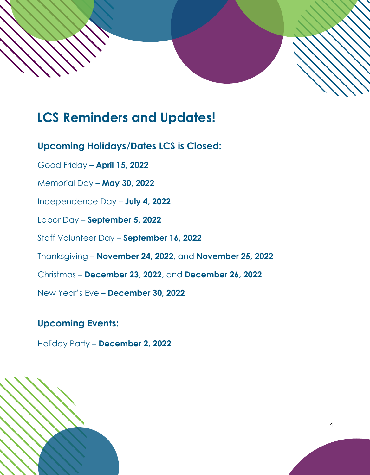

### **LCS Reminders and Updates!**

**Upcoming Holidays/Dates LCS is Closed:**

Good Friday – **April 15, 2022**

Memorial Day – **May 30, 2022**

Independence Day – **July 4, 2022**

Labor Day – **September 5, 2022**

Staff Volunteer Day – **September 16, 2022**

Thanksgiving – **November 24, 2022**, and **November 25, 2022**

Christmas – **December 23, 2022**, and **December 26, 2022**

New Year's Eve – **December 30, 2022**

### **Upcoming Events:**

Holiday Party – **December 2, 2022**



4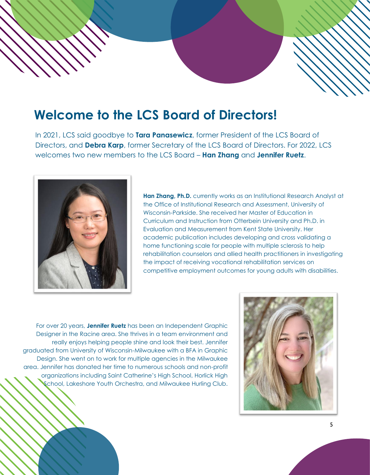## **Welcome to the LCS Board of Directors!**

In 2021, LCS said goodbye to **Tara Panasewicz**, former President of the LCS Board of Directors, and **Debra Karp**, former Secretary of the LCS Board of Directors. For 2022, LCS welcomes two new members to the LCS Board – **Han Zhang** and **Jennifer Ruetz**.



**Han Zhang, Ph.D.** currently works as an Institutional Research Analyst at the Office of Institutional Research and Assessment, University of Wisconsin-Parkside. She received her Master of Education in Curriculum and Instruction from Otterbein University and Ph.D. in Evaluation and Measurement from Kent State University. Her academic publication includes developing and cross validating a home functioning scale for people with multiple sclerosis to help rehabilitation counselors and allied health practitioners in investigating the impact of receiving vocational rehabilitation services on competitive employment outcomes for young adults with disabilities.

For over 20 years, **Jennifer Ruetz** has been an Independent Graphic Designer in the Racine area. She thrives in a team environment and really enjoys helping people shine and look their best. Jennifer graduated from University of Wisconsin-Milwaukee with a BFA in Graphic Design. She went on to work for multiple agencies in the Milwaukee area. Jennifer has donated her time to numerous schools and non-profit organizations including Saint Catherine's High School, Horlick High School, Lakeshore Youth Orchestra, and Milwaukee Hurling Club.